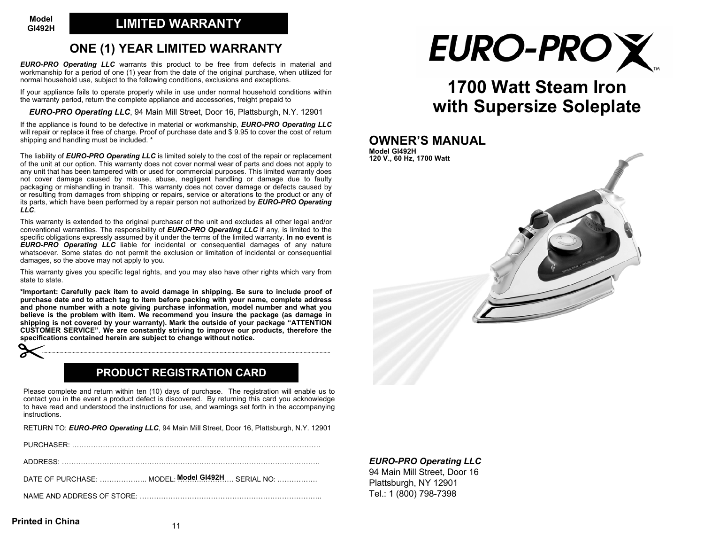# **ONE (1) YEAR LIMITED WARRANTY**

*EURO-PRO Operating LLC* warrants this product to be free from defects in material and workmanship for a period of one (1) year from the date of the original purchase, when utilized for normal household use, subject to the following conditions, exclusions and exceptions.

If your appliance fails to operate properly while in use under normal household conditions within the warranty period, return the complete appliance and accessories, freight prepaid to

*EURO-PRO Operating LLC*, 94 Main Mill Street, Door 16, Plattsburgh, N.Y. 12901

If the appliance is found to be defective in material or workmanship, *EURO-PRO Operating LLC* will repair or replace it free of charge. Proof of purchase date and \$ 9.95 to cover the cost of return shipping and handling must be included. \*

The liability of *EURO-PRO Operating LLC* is limited solely to the cost of the repair or replacement of the unit at our option. This warranty does not cover normal wear of parts and does not apply to any unit that has been tampered with or used for commercial purposes. This limited warranty does not cover damage caused by misuse, abuse, negligent handling or damage due to faulty packaging or mishandling in transit. This warranty does not cover damage or defects caused by or resulting from damages from shipping or repairs, service or alterations to the product or any of its parts, which have been performed by a repair person not authorized by *EURO-PRO Operating LLC*.

This warranty is extended to the original purchaser of the unit and excludes all other legal and/or conventional warranties. The responsibility of *EURO-PRO Operating LLC* if any, is limited to the specific obligations expressly assumed by it under the terms of the limited warranty. **In no event** is *EURO-PRO Operating LLC* liable for incidental or consequential damages of any nature whatsoever. Some states do not permit the exclusion or limitation of incidental or consequential damages, so the above may not apply to you.

This warranty gives you specific legal rights, and you may also have other rights which vary from state to state.

**\*Important: Carefully pack item to avoid damage in shipping. Be sure to include proof of purchase date and to attach tag to item before packing with your name, complete address and phone number with a note giving purchase information, model number and what you believe is the problem with item. We recommend you insure the package (as damage in shipping is not covered by your warranty). Mark the outside of your package "ATTENTION CUSTOMER SERVICE". We are constantly striving to improve our products, therefore the specifications contained herein are subject to change without notice.**



# **PRODUCT REGISTRATION CARD**

Please complete and return within ten (10) days of purchase. The registration will enable us to contact you in the event a product defect is discovered. By returning this card you acknowledge to have read and understood the instructions for use, and warnings set forth in the accompanying instructions.

RETURN TO: *EURO-PRO Operating LLC*, 94 Main Mill Street, Door 16, Plattsburgh, N.Y. 12901

| DATE OF PURCHASE:  MODEL: Model GI492H SERIAL NO: |
|---------------------------------------------------|
|                                                   |



# **1700 Watt Steam Ironwith Supersize Soleplate**

## **OWNER'S MANUAL**



*EURO-PRO Operating LLC* 94 Main Mill Street, Door 16 Plattsburgh, NY 12901 Tel.: 1 (800) 798-7398

#### **Printed in China**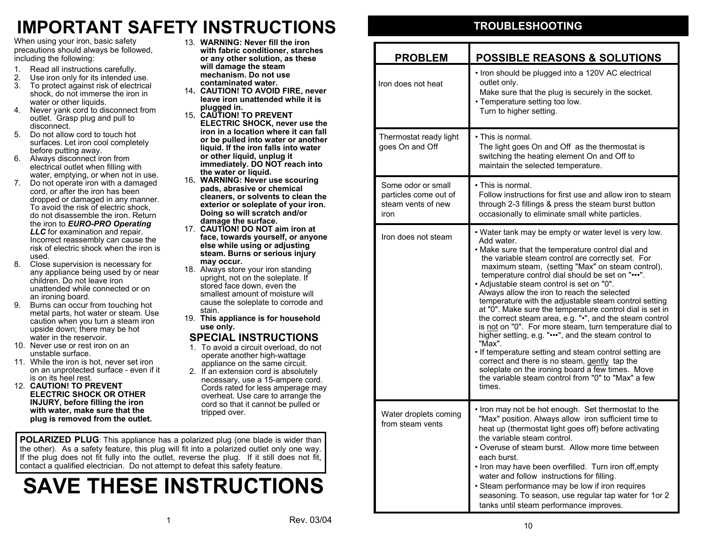# **IMPORTANT SAFETY INSTRUCTIONS**

When using your iron, basic safety precautions should always be follo wed, including the follo wing:

- 1.Read all instructions carefully.
- 2. Use iron only for its intended use. 3.To protect against risk of electrical shock, do not immerse the iron in
- water or other liquids. 4. Never yank cord to disconnect from outlet. Grasp plug and pull to disconnect.
- 5. Do not allow cord to touch hot surfaces. Let iron cool completely before putting a way.
- 6. Al ways disconnect iron from electrical outlet when filling with water, emptying, or when not in use.
- 7. Do not operate iron with a damaged cord, or after the iron has been dropped or damaged in any manner. To avoid the risk of electric shock, do not disassemble the iron. Return the iron to *EURO-PRO Operating LLC* for examination and repair. Incorrect reassembly can cause the risk of electric shock when the iron is used.
- 8. Close supervision is necessary for any appliance being used by or near children. Do not leave iron unattended while connected or on an ironing board.
- 9. Burns can occur from touching hot metal parts, hot water or steam. Use caution when you turn a steam iron upside do wn; there may be hot water in the reservoir.
- 10. Never use or rest iron on an unstable surface.
- 11. While the iron is hot, never set iron on an unprotected surface - even if it is on its heel rest.
- 12.**CAUTION! TO PREVENT ELECTRIC SHOCK OR OTHER INJURY, before filling the iron withwater, make sure that the plug is remo ved from the outlet.**
- 13.**WARNING: Never fill the iron with fabric conditioner, starches or any other s olution, as these will damage the steam mechanism. Do not use contaminated water.**
- 14**. CAUTION! TO AVOID FIRE, never leave iron unattended while it is plugged in.**
- 15**. CAUTION! TO PREVENT ELECTRIC SHOCK, never use the iron in a location where it can fall or be pulled into water or another liquid. If the iron falls into water or other liqui d, unplu g it immediatel y. DO NOT reach into the water or liquid.**
- 16**. WARNING: Never use scouring pads, abrasi ve or chemical cleaners, or s olvents to clean the exterior or s oleplate of your iron. Doin g so will scratch an d/or damage the surface.**
- 17. **CAUTION! DO NOT aim iron at face, to wards y ourself, or an y one else while usin g or adjusting steam. Burns or serious injury may occur.**
- 18. Al ways store your iron standing upright, not on the soleplate. If stored face down, even the smallest amount of moisture will cause the soleplate to corrode and stain.
- 19. **This ap pliance is for household use only.**

# **SPECIAL INSTRUCTIONS**

- 1.To avoid a circuit overload, do not operate another high-wattage appliance on the same circuit.
- 2. If an extension cord is absolutely necessary, use a 15-ampere cord. Cords rated for less amperage may overheat. Use care to arrange the cord so that it cannot be pulled or tripped over.

**POLARIZED PLUG**: This appliance has a polarized plug (one blade is wider than the other). As a safety feature, this plug will fit into a polarized outlet only one way. If the plug does not fit fully into the outlet, reverse the plug. If it still does not fit, contact a qualified electrician. Do not attempt to defeat this safety feature.

# **SAVE THESE INSTRUCTIONS**

# **TROUBLESHOOTING**

| <b>PROBLEM</b>                                                            | <b>POSSIBLE REASONS &amp; SOLUTIONS</b>                                                                                                                                                                                                                                                                                                                                                                                                                                                                                                                                                                                                                                                                                                                                                                                                                                                                                 |  |  |  |
|---------------------------------------------------------------------------|-------------------------------------------------------------------------------------------------------------------------------------------------------------------------------------------------------------------------------------------------------------------------------------------------------------------------------------------------------------------------------------------------------------------------------------------------------------------------------------------------------------------------------------------------------------------------------------------------------------------------------------------------------------------------------------------------------------------------------------------------------------------------------------------------------------------------------------------------------------------------------------------------------------------------|--|--|--|
| Iron does not heat                                                        | • Iron should be plugged into a 120V AC electrical<br>outlet only.<br>Make sure that the plug is securely in the socket.<br>• Temperature setting too low.<br>Turn to higher setting.                                                                                                                                                                                                                                                                                                                                                                                                                                                                                                                                                                                                                                                                                                                                   |  |  |  |
| Thermostat ready light<br>goes On and Off                                 | $\bm{\cdot}$ This is normal.<br>The light goes On and Off as the thermostat is<br>switching the heating element On and Off to<br>maintain the selected temperature.                                                                                                                                                                                                                                                                                                                                                                                                                                                                                                                                                                                                                                                                                                                                                     |  |  |  |
| Some odor or small<br>particles come out of<br>steam vents of new<br>iron | $\bm{\cdot}$ This is normal.<br>Follow instructions for first use and allow iron to steam<br>through 2-3 fillings & press the steam burst button<br>occasionally to eliminate small white particles.                                                                                                                                                                                                                                                                                                                                                                                                                                                                                                                                                                                                                                                                                                                    |  |  |  |
| Iron does not steam                                                       | • Water tank may be empty or water level is very low.<br>Add water.<br>• Make sure that the temperature control dial and<br>the variable steam control are correctly set. For<br>maximum steam, (setting "Max" on steam control),<br>temperature control dial should be set on "".<br>. Adjustable steam control is set on "0".<br>Always allow the iron to reach the selected<br>temperature with the adjustable steam control setting<br>at "0". Make sure the temperature control dial is set in<br>the correct steam area, e.g. "•", and the steam control<br>is not on "0". For more steam, turn temperature dial to<br>higher setting, e.g. "", and the steam control to<br>"Max".<br>• If temperature setting and steam control setting are<br>correct and there is no steam, gently tap the<br>soleplate on the ironing board a few times. Move<br>the variable steam control from "0" to "Max" a few<br>times. |  |  |  |
| Water droplets coming<br>from steam vents                                 | . Iron may not be hot enough. Set thermostat to the<br>"Max" position. Always allow iron sufficient time to<br>heat up (thermostat light goes off) before activating<br>the variable steam control.<br>• Overuse of steam burst. Allow more time between<br>each burst.<br>. Iron may have been overfilled. Turn iron off, empty<br>water and follow instructions for filling.<br>• Steam performance may be low if iron requires<br>seasoning. To season, use regular tap water for 1or 2<br>tanks until steam performance improves.                                                                                                                                                                                                                                                                                                                                                                                   |  |  |  |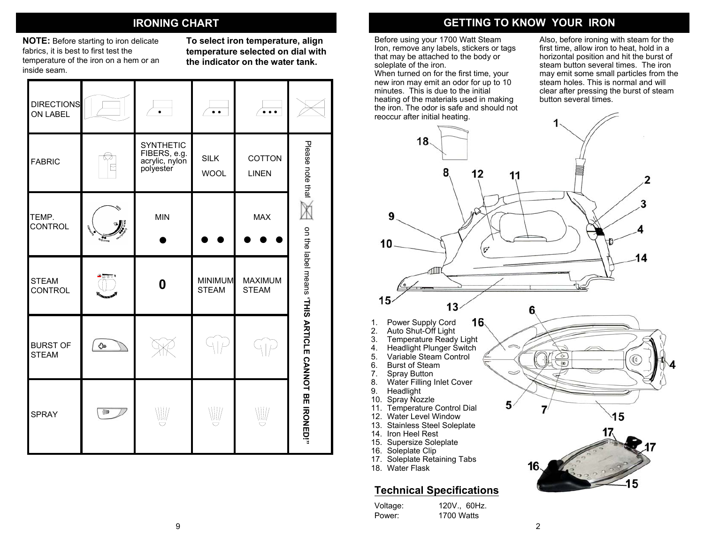**NOTE:** Before starting to iron delicate fabrics, it is best to first test the temperature of the iron on a hem or an inside seam.

**To select iron temperature, align temperature selected on dial with the indicator on the water tank.**

| <b>DIRECTIONS</b><br>ON LABEL   |                               | ۰                                                               | $\cdots$                       |                         |                                                     |
|---------------------------------|-------------------------------|-----------------------------------------------------------------|--------------------------------|-------------------------|-----------------------------------------------------|
| <b>FABRIC</b>                   |                               | <b>SYNTHETIC</b><br>FIBERS, e.g.<br>acrylic, nylon<br>polyester | <b>SILK</b><br><b>WOOL</b>     | COTTON<br><b>LINEN</b>  | Please note that                                    |
| TEMP.<br><b>CONTROL</b>         | C. Banker<br><b>THIS TOOM</b> | <b>MIN</b>                                                      |                                | <b>MAX</b>              |                                                     |
| <b>STEAM</b><br><b>CONTROL</b>  | உதகுர                         | 0                                                               | <b>MINIMUM</b><br><b>STEAM</b> | MAXIMUM<br><b>STEAM</b> |                                                     |
| <b>BURST OF</b><br><b>STEAM</b> | ⊕                             |                                                                 |                                |                         |                                                     |
| <b>SPRAY</b>                    | 嗣                             | $\mathbb{W}'$                                                   | ⋓                              | ⋓                       | on the label means "THIS ARNOLE CANNOT BE IRONE IRO |

# **IRONING CHART GETTING TO KNOW YOUR IRON**

Before using your 1700 Watt Steam Iron, remove any labels, stickers or tags that may be attached to the body or soleplate of the iron.

When turned on for the first time, your new iron may emit an odor for up to 10 minutes. This is due to the initial heating of the materials used in making the iron. The odor is safe and should not reoccur after initial heating.

Also, before ironing with steam for the first time, allow iron to heat, hold in a horizontal position and hit the burst of steam button several times. The iron may emit some small particles from the steam holes. This is normal and will clear after pressing the burst of steam button several times.

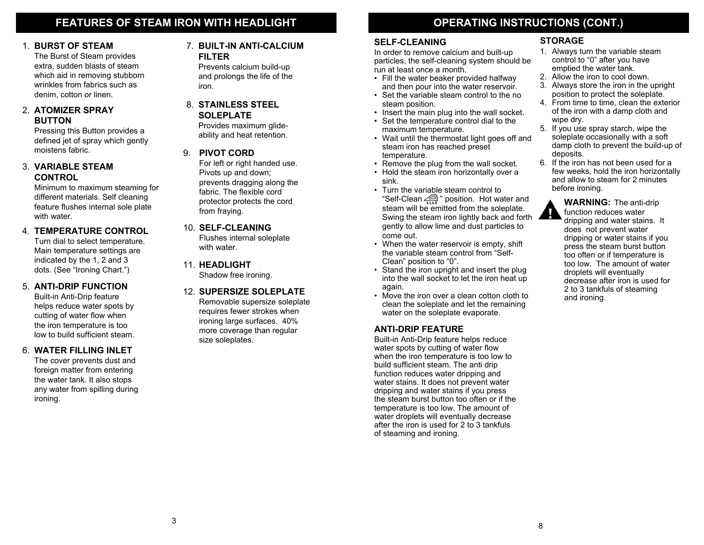## **FEATU R ES OF STEAM IRON WITH HEADLIGHT**

#### **BURST OF STEAM**

The Burst of Steam provides extra, sudden blasts of steam which aid in removing stubborn wrinkles from fabrics such as denim, cotton or linen.

#### 2. **ATOMIZER SPRAY BUTTON**

Pressing this Button provides a defined jet of spray which gently moistens fabric.9.

#### 3. **VARIABLE STEAM CONTROL**

Minimum to maximum steaming for different materials. Self cleaning feature flushes internal sole plate with water.

#### 4. **TEMPERATURE CONTROL**

Turn dial to select temperature. Main temperature settings are indicated by the 1, 2 and 3 dots. (See "Ironing Chart.")

#### 5. **ANTI-DRIP FUNCTION**

Built-in Anti-Drip feature helps reduce water spots by cutting of water flowwhen the iron temperature is too low to build sufficient steam.

#### 6. **WATER FILLING I NLET**

The cover prevents dust and foreign matter from entering the water tank. It also stops any water from spilling during ironing.

#### 1. BURST OF STEAM 7. BUILT-IN ANTI-CALCIUM SELF-CLEANING STORAGE **FILTER**

Prevents calcium build-up and prolongs the life of the iron.

#### 8.**STAINLESS STEELSOLEPLATE**

Provides maximum glideability and heat retention.

#### **PIVOT CORD**

For left or right handed use. Pivots up and do wn; prevents dragging along the fabric. The flexible cord protector protects the cord from fraying.

#### 10. **SELF-CLEANING**

Flushes internal soleplate with water.

**11. HEADLIGHT** Shadow free ironing.

#### 12. **SUPERSIZE SOLEPLATE**Removable supersize soleplate

requires fe wer strokes when ironing large surfaces. 40% more coverage than regular size soleplates.

# **OPERATING INS TRUCTIONS ( CONT.)**

#### **SELF-CLEANING**

In order to remove calcium and built-up particles, the self-cleaning system should be run at least once a month.

- Fill the water beaker provided halfway and then pour into the water reservoir.
- Set the variable steam control to the no steam position.
- Insert the main plug into the wall socket.
- Set the temperature control dial to the maximum temperature.
- Wait until the thermostat light goes off and steam iron has reached preset temperature.
- Remove the plug from the wall socket.
- Hold the steam iron horizontally over a sink.
- Turn the variable steam control to "Self-Clean " position. Hot water and steam will be e mitted from the soleplate. S wing the steam iron lightly back and forth gently to allow lime and dust particles to come out.
- When the water reservoir is empty, shift the variable steam control from "Self-Clean" position to "0".
- Stand the iron upright and insert the plug into the wall socket to let the iron heat up again.
- Move the iron over a clean cotton cloth to clean the soleplate and let the remaining water on the soleplate evaporate.

#### **ANTI-DRIP FEATURE**

Built-in Anti-Drip feature helps reduce water spots by cutting of water flow when the iron temperature is too lo w to build sufficient steam. The anti drip function reduces water dripping and water stains. It does not prevent water dripping and water stains if you press the steam burst button too often or if the temperature is too lo w. The amount of water droplets will eventually decrease after the iron is used for 2 to 3 tankfuls of steaming and ironing.

IJ

- 1. Always turn the variable steam control to "0" after you have emptied the water tank.
- 2. Allow the iron to cool down.
- 3. Always store the iron in the upright position to protect the soleplate.
- 4. From time to time, clean the exterior of the iron with a damp cloth and wipe dry.
- 5. If you use spray starch, wipe the soleplate occasionally with a soft damp cloth to prevent the build-up of deposits.
- 6. If the iron has not been used for a few weeks, hold the iron horizontally and allow to steam for 2 minutes before ironing.

**WARNING:**The anti-drip function reduces water dripping and water stains. It does not prevent water dripping or water stains if you press the steam burst button too often or if temperature is too low. The amount of waterdroplets will eventually decrease after iron is used for 2 to 3 tankfuls of steaming and ironing.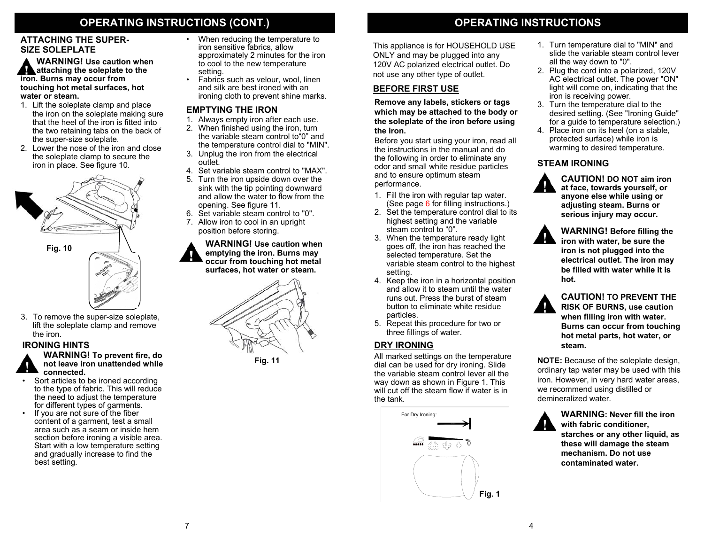# **OPERATING INS TRUCTIONS (**

•

#### **ATTACHING THE SUPER-SIZE SOLEPLATE**

**WARNING! Use caution when attaching the soleplate to the iron. Burns may occur from touching h ot metal surfaces, hot water or steam.**

- 1. Lift the soleplate clamp and place the iron on the soleplate making sure that the heel of the iron is fitted into the t wo retaining tabs on the back of the super-size soleplate.
- 2. Lower the nose of the iron and close the soleplate clamp to secure the iron in place. See figure 10.



**Fig. 10**



3.To remove the super-size soleplate, lift the soleplate clamp and remove the iron.

#### **IRONING HINTS**

#### **WARNING!To prevent fire, do not leave iron unattended whileconnected.**

- • Sort articles to be ironed according to the type of fabric. This will reduce the need to adjust the temperature for different types of garments.
- •If you are not sure of the fiber content of a garment, test a small area such as a seam or inside hem section before ironing a visible area. Start with a low temperature setting and gradually increase to find the best setting.
- When reducing the temperature to iron sensitive fabrics, allow approximately 2 minutes for the iron to cool to the ne w temperature setting.
- •• Fabrics such as velour, wool, linen and silk are best ironed with anironing cloth to prevent shine marks.

### **EMPTYING THE IRON**

- 1. Al ways empty iron after each use.
- 2. When finished using the iron, turn the variable steam control to"0" and the temperature control dial to "MIN".
- 3. Unplug the iron from the electrical outlet.
- 4. Set variable steam control to "MAX".
- 5. Turn the iron upside down over the sink with the tip pointing down ward and allow the water to flow from the opening. See figure 11.
- 6. Set variable steam control to "0".
- 7. Allo w iron to cool in an upright position before storing.

#### **WARNING! Use caution when emptying the iron. Burns ma y occur from touching hot metal surfaces, h ot water or steam.**





# **CONT.) OPERATING INS TRUCTIONS**

This appliance is for HOUSEHOLD USE ONLY and may be plugged into any 120V AC polarized electrical outlet. Do not use any other type of outlet.

### **BEFORE FIRST USE**

**Remove any labels, stickers or tags which ma y be attached to the body or the s oleplate of the iron before using the iron.**

Before you start using your iron, read all the instructions in the manual and do the following in order to eliminate any odor and small white residue particles and to ensure optimum steam performance.

- 1. Fill the iron with regular tap water. (See page 6 for filling instructions.)
- 2. Set the temperature control dial to its highest setting and the variable steam control to "0".
- 3.When the temperature ready light goes off, the iron has reached the selected temperature. Set the variable steam control to the highest setting.
- 4. Keep the iron in a horizontal position and allow it to steam until the water runs out. Press the burst of steam button to eliminate white residue particles.
- 5. Repeat this procedure for t wo or three fillings of water.

All marked settings on the temperature dial can be used for dry ironing. Slide the variable steam control lever all the way do wn as sho wn in Figure 1. This will cut off the steam flow if water is in the tank.



- 1. Turn temperature dial to "MI N" and slide the variable steam control lever all the way down to "0".
- 2. Plug the cord into a polarized, 120V AC electrical outlet. The po wer "ON" light will come on, indicating that the iron is receiving po wer.
- 3.Turn the temperature dial to the desired setting. (See "Ironing Guide" for a guide to temperature selection.)
- 4. Place iron on its heel (on a stable, protected surface) while iron is.<br>warming to desired temperature.

#### **STEAM IRONING**



**CAUTION! DO NOT aim iron at face, to wards y ourself, or anyone else while using or adjusting steam. Burns or serious injury may occur.**



**CAUTION! TO PREVENT THE RISK OF BURNS, use caution when filling iron with water.Burns can occur from touching hot metal parts, hot water, or**

**NOTE:** Because of the soleplate design, ordinary tap water may be used with this iron. Ho wever, in very hard water areas, we recommend using distilled or demineralized water.



**WARNING: Never fill the iron with fabric conditioner,** 

**starches or any other liquid, as these will damage the steam mechanism. Do not use contaminated water.**